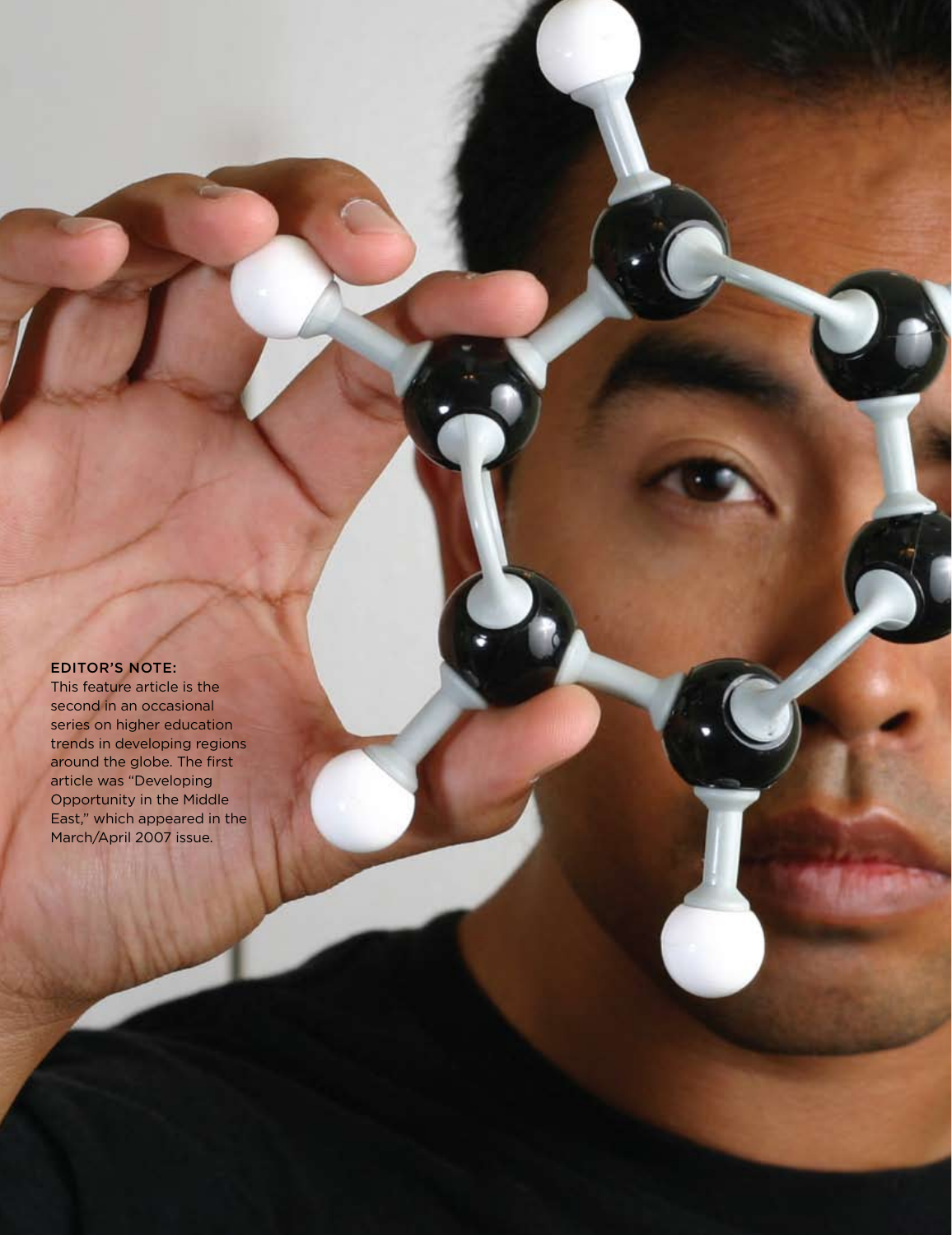## Editor's Note:

This feature article is the second in an occasional series on higher education trends in developing regions around the globe. The first article was "Developing Opportunity in the Middle East," which appeared in the March/April 2007 issue.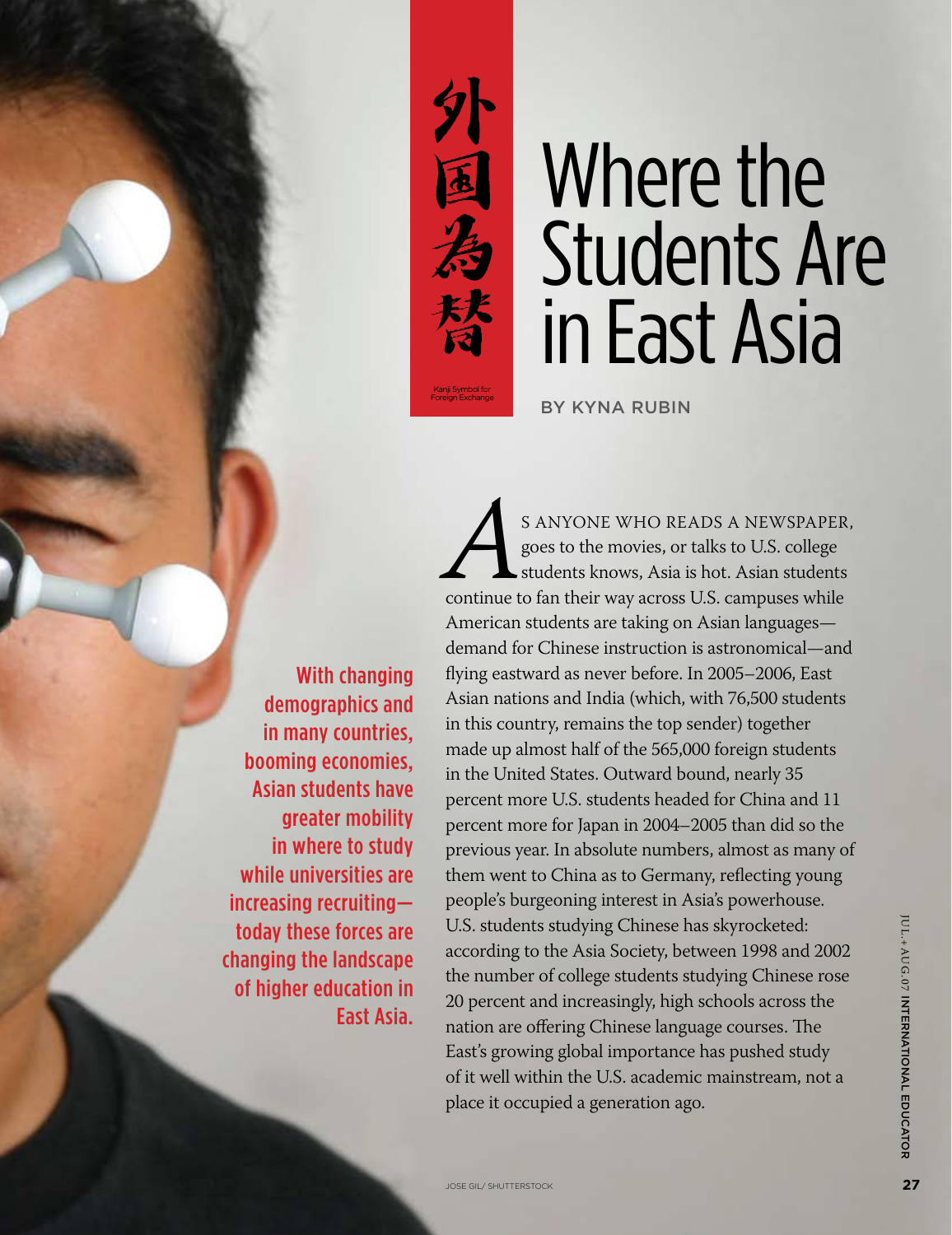

# Where the Students Are in East Asia

By Kyna Rubin

S ANYONE WHO READS A NEWSPAPER, goes to the movies, or talks to U.S. college students knows, Asia is hot. Asian students continue to fan their way across U.S. campuses while goes to the movies, or talks to U.S. college students knows, Asia is hot. Asian students American students are taking on Asian languages demand for Chinese instruction is astronomical—and flying eastward as never before. In 2005–2006, East Asian nations and India (which, with 76,500 students in this country, remains the top sender) together made up almost half of the 565,000 foreign students in the United States. Outward bound, nearly 35 percent more U.S. students headed for China and 11 percent more for Japan in 2004–2005 than did so the previous year. In absolute numbers, almost as many of them went to China as to Germany, reflecting young people's burgeoning interest in Asia's powerhouse. U.S. students studying Chinese has skyrocketed: according to the Asia Society, between 1998 and 2002 the number of college students studying Chinese rose 20 percent and increasingly, high schools across the nation are offering Chinese language courses. The East's growing global importance has pushed study of it well within the U.S. academic mainstream, not a place it occupied a generation ago.

With changing demographics and in many countries, booming economies, Asian students have greater mobility in where to study while universities are increasing recruiting today these forces are changing the landscape of higher education in East Asia.

JUL.+AUG.07 INTERNATIONAL EDUCATOR JUL.+AUG.07 INTERNATIONAL Educator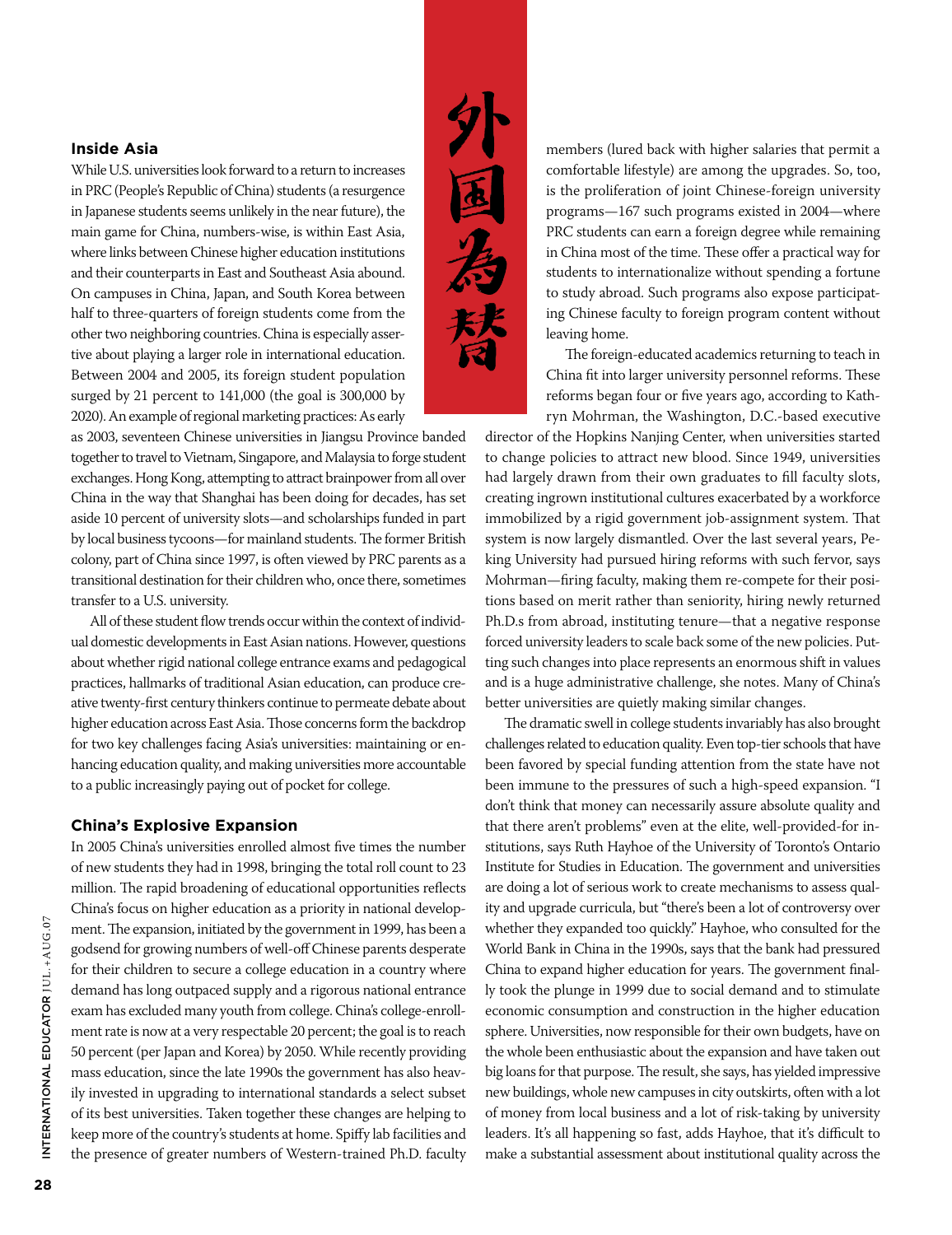### **Inside Asia**

While U.S. universities look forward to a return to increases in PRC (People's Republic of China) students (a resurgence in Japanese students seems unlikely in the near future), the main game for China, numbers-wise, is within East Asia, where links between Chinese higher education institutions and their counterparts in East and Southeast Asia abound. On campuses in China, Japan, and South Korea between half to three-quarters of foreign students come from the other two neighboring countries. China is especially assertive about playing a larger role in international education. Between 2004 and 2005, its foreign student population surged by 21 percent to 141,000 (the goal is 300,000 by 2020). An example of regional marketing practices: As early 海

as 2003, seventeen Chinese universities in Jiangsu Province banded together to travel to Vietnam, Singapore, and Malaysia to forge student exchanges. Hong Kong, attempting to attract brainpower from all over China in the way that Shanghai has been doing for decades, has set aside 10 percent of university slots—and scholarships funded in part by local business tycoons—for mainland students. The former British colony, part of China since 1997, is often viewed by PRC parents as a transitional destination for their children who, once there, sometimes transfer to a U.S. university.

All of these student flow trends occur within the context of individual domestic developments in East Asian nations. However, questions about whether rigid national college entrance exams and pedagogical practices, hallmarks of traditional Asian education, can produce creative twenty-first century thinkers continue to permeate debate about higher education across East Asia. Those concerns form the backdrop for two key challenges facing Asia's universities: maintaining or enhancing education quality, and making universities more accountable to a public increasingly paying out of pocket for college.

#### **China's Explosive Expansion**

In 2005 China's universities enrolled almost five times the number of new students they had in 1998, bringing the total roll count to 23 million. The rapid broadening of educational opportunities reflects China's focus on higher education as a priority in national development. The expansion, initiated by the government in 1999, has been a godsend for growing numbers of well-off Chinese parents desperate for their children to secure a college education in a country where demand has long outpaced supply and a rigorous national entrance exam has excluded many youth from college. China's college-enrollment rate is now at a very respectable 20 percent; the goal is to reach 50 percent (per Japan and Korea) by 2050. While recently providing mass education, since the late 1990s the government has also heavily invested in upgrading to international standards a select subset of its best universities. Taken together these changes are helping to keep more of the country's students at home. Spiffy lab facilities and the presence of greater numbers of Western-trained Ph.D. faculty

members (lured back with higher salaries that permit a comfortable lifestyle) are among the upgrades. So, too, is the proliferation of joint Chinese-foreign university programs—167 such programs existed in 2004—where PRC students can earn a foreign degree while remaining in China most of the time. These offer a practical way for students to internationalize without spending a fortune to study abroad. Such programs also expose participating Chinese faculty to foreign program content without leaving home.

The foreign-educated academics returning to teach in China fit into larger university personnel reforms. These reforms began four or five years ago, according to Kathryn Mohrman, the Washington, D.C.-based executive

director of the Hopkins Nanjing Center, when universities started to change policies to attract new blood. Since 1949, universities had largely drawn from their own graduates to fill faculty slots, creating ingrown institutional cultures exacerbated by a workforce immobilized by a rigid government job-assignment system. That system is now largely dismantled. Over the last several years, Peking University had pursued hiring reforms with such fervor, says Mohrman—firing faculty, making them re-compete for their positions based on merit rather than seniority, hiring newly returned Ph.D.s from abroad, instituting tenure—that a negative response forced university leaders to scale back some of the new policies. Putting such changes into place represents an enormous shift in values and is a huge administrative challenge, she notes. Many of China's better universities are quietly making similar changes.

The dramatic swell in college students invariably has also brought challenges related to education quality. Even top-tier schools that have been favored by special funding attention from the state have not been immune to the pressures of such a high-speed expansion. "I don't think that money can necessarily assure absolute quality and that there aren't problems" even at the elite, well-provided-for institutions, says Ruth Hayhoe of the University of Toronto's Ontario Institute for Studies in Education. The government and universities are doing a lot of serious work to create mechanisms to assess quality and upgrade curricula, but "there's been a lot of controversy over whether they expanded too quickly." Hayhoe, who consulted for the World Bank in China in the 1990s, says that the bank had pressured China to expand higher education for years. The government finally took the plunge in 1999 due to social demand and to stimulate economic consumption and construction in the higher education sphere. Universities, now responsible for their own budgets, have on the whole been enthusiastic about the expansion and have taken out big loans for that purpose. The result, she says, has yielded impressive new buildings, whole new campuses in city outskirts, often with a lot of money from local business and a lot of risk-taking by university leaders. It's all happening so fast, adds Hayhoe, that it's difficult to make a substantial assessment about institutional quality across the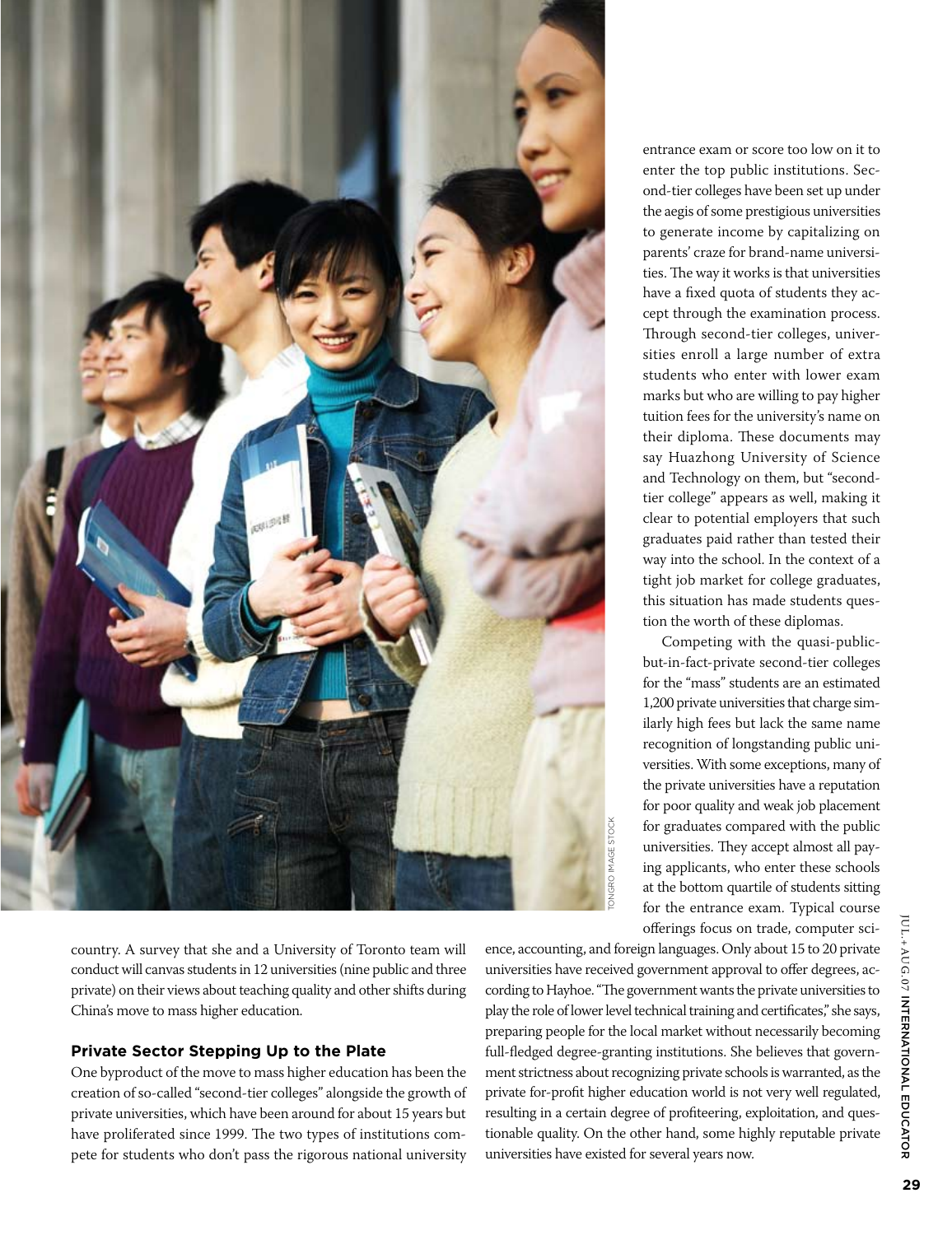

entrance exam or score too low on it to enter the top public institutions. Second-tier colleges have been set up under the aegis of some prestigious universities to generate income by capitalizing on parents' craze for brand-name universities. The way it works is that universities have a fixed quota of students they accept through the examination process. Through second-tier colleges, universities enroll a large number of extra students who enter with lower exam marks but who are willing to pay higher tuition fees for the university's name on their diploma. These documents may say Huazhong University of Science and Technology on them, but "secondtier college" appears as well, making it clear to potential employers that such graduates paid rather than tested their way into the school. In the context of a tight job market for college graduates, this situation has made students question the worth of these diplomas.

Competing with the quasi-publicbut-in-fact-private second-tier colleges for the "mass" students are an estimated 1,200 private universities that charge similarly high fees but lack the same name recognition of longstanding public universities. With some exceptions, many of the private universities have a reputation for poor quality and weak job placement for graduates compared with the public universities. They accept almost all paying applicants, who enter these schools at the bottom quartile of students sitting for the entrance exam. Typical course offerings focus on trade, computer sci-

country. A survey that she and a University of Toronto team will conduct will canvas students in 12 universities (nine public and three private) on their views about teaching quality and other shifts during China's move to mass higher education.

### **Private Sector Stepping Up to the Plate**

One byproduct of the move to mass higher education has been the creation of so-called "second-tier colleges" alongside the growth of private universities, which have been around for about 15 years but have proliferated since 1999. The two types of institutions compete for students who don't pass the rigorous national university

ence, accounting, and foreign languages. Only about 15 to 20 private universities have received government approval to offer degrees, according to Hayhoe. "The government wants the private universities to play the role of lower level technical training and certificates," she says, preparing people for the local market without necessarily becoming full-fledged degree-granting institutions. She believes that government strictness about recognizing private schools is warranted, as the private for-profit higher education world is not very well regulated, resulting in a certain degree of profiteering, exploitation, and questionable quality. On the other hand, some highly reputable private universities have existed for several years now.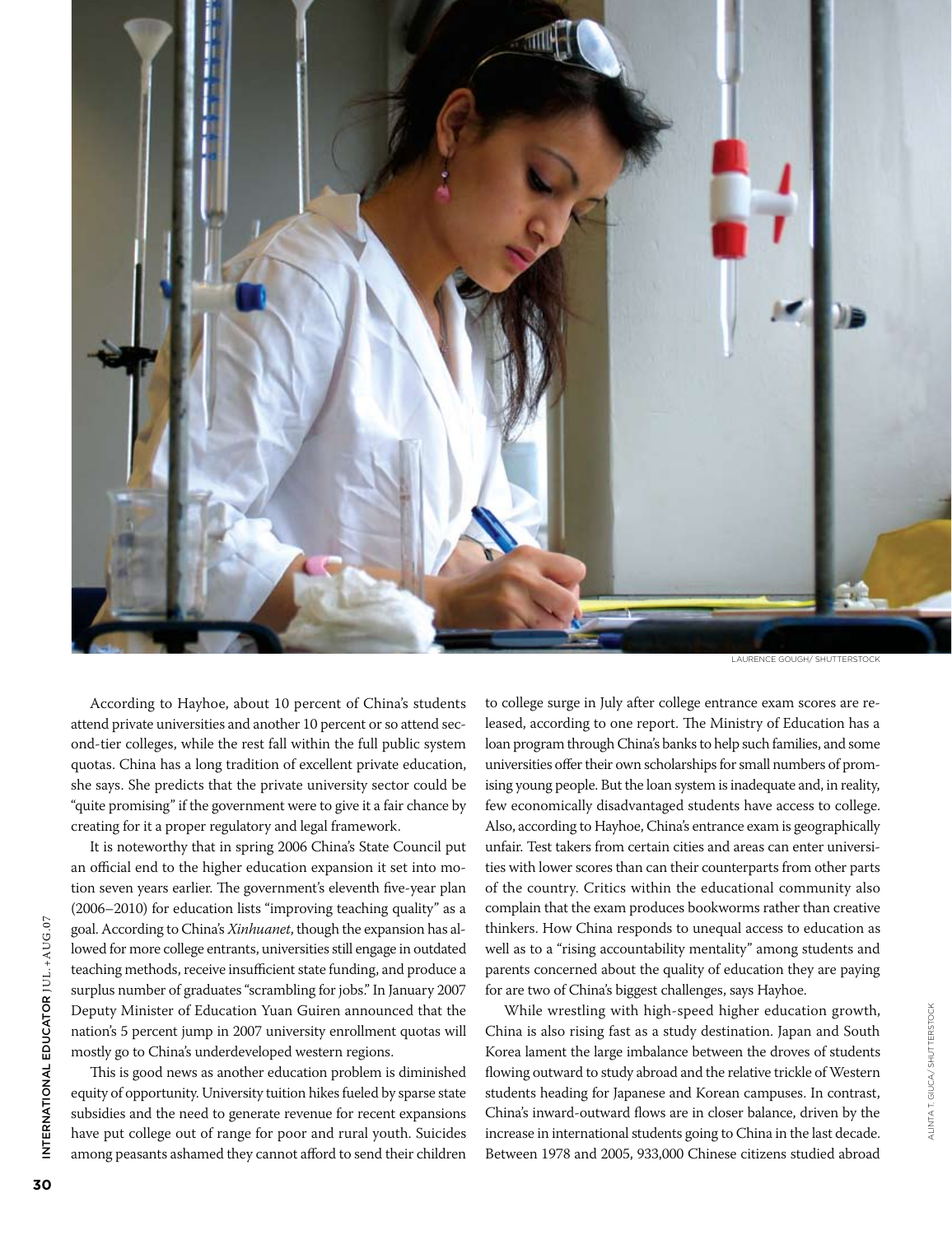

Laurence Gough/ shutterstock

Alinta T. Giuca/ shutterstock

ALINTA T. GIUCA/ SHUTTERSTOCK

According to Hayhoe, about 10 percent of China's students attend private universities and another 10 percent or so attend second-tier colleges, while the rest fall within the full public system quotas. China has a long tradition of excellent private education, she says. She predicts that the private university sector could be "quite promising" if the government were to give it a fair chance by creating for it a proper regulatory and legal framework.

It is noteworthy that in spring 2006 China's State Council put an official end to the higher education expansion it set into motion seven years earlier. The government's eleventh five-year plan (2006–2010) for education lists "improving teaching quality" as a goal. According to China's *Xinhuanet*, though the expansion has allowed for more college entrants, universities still engage in outdated teaching methods, receive insufficient state funding, and produce a surplus number of graduates "scrambling for jobs." In January 2007 Deputy Minister of Education Yuan Guiren announced that the nation's 5 percent jump in 2007 university enrollment quotas will mostly go to China's underdeveloped western regions.

This is good news as another education problem is diminished equity of opportunity. University tuition hikes fueled by sparse state subsidies and the need to generate revenue for recent expansions have put college out of range for poor and rural youth. Suicides among peasants ashamed they cannot afford to send their children

to college surge in July after college entrance exam scores are released, according to one report. The Ministry of Education has a loan program through China's banks to help such families, and some universities offer their own scholarships for small numbers of promising young people. But the loan system is inadequate and, in reality, few economically disadvantaged students have access to college. Also, according to Hayhoe, China's entrance exam is geographically unfair. Test takers from certain cities and areas can enter universities with lower scores than can their counterparts from other parts of the country. Critics within the educational community also complain that the exam produces bookworms rather than creative thinkers. How China responds to unequal access to education as well as to a "rising accountability mentality" among students and parents concerned about the quality of education they are paying for are two of China's biggest challenges, says Hayhoe.

While wrestling with high-speed higher education growth, China is also rising fast as a study destination. Japan and South Korea lament the large imbalance between the droves of students flowing outward to study abroad and the relative trickle of Western students heading for Japanese and Korean campuses. In contrast, China's inward-outward flows are in closer balance, driven by the increase in international students going to China in the last decade. Between 1978 and 2005, 933,000 Chinese citizens studied abroad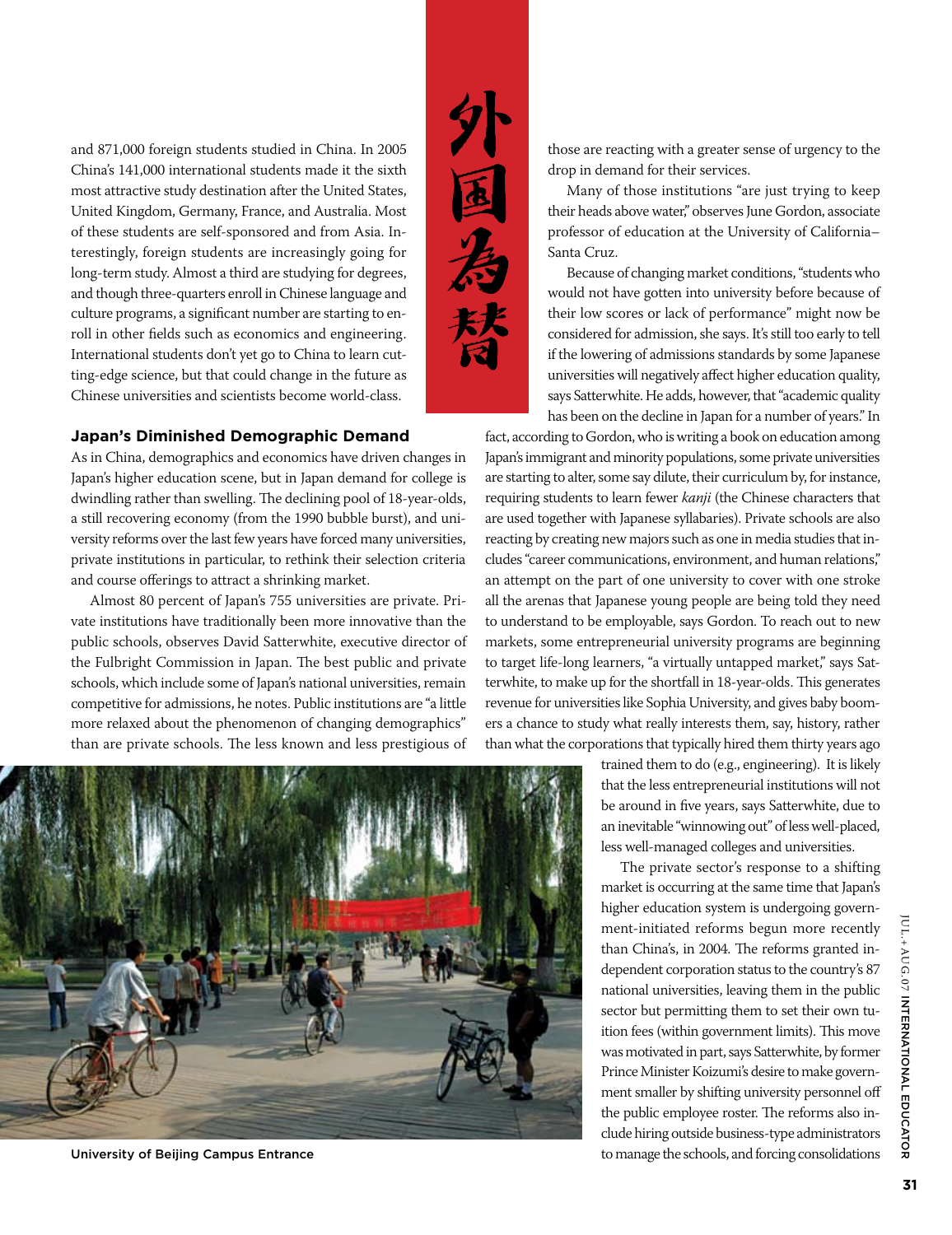and 871,000 foreign students studied in China. In 2005 China's 141,000 international students made it the sixth most attractive study destination after the United States, United Kingdom, Germany, France, and Australia. Most of these students are self-sponsored and from Asia. Interestingly, foreign students are increasingly going for long-term study. Almost a third are studying for degrees, and though three-quarters enroll in Chinese language and culture programs, a significant number are starting to enroll in other fields such as economics and engineering. International students don't yet go to China to learn cutting-edge science, but that could change in the future as Chinese universities and scientists become world-class.

## **Japan's Diminished Demographic Demand**

As in China, demographics and economics have driven changes in Japan's higher education scene, but in Japan demand for college is dwindling rather than swelling. The declining pool of 18-year-olds, a still recovering economy (from the 1990 bubble burst), and university reforms over the last few years have forced many universities, private institutions in particular, to rethink their selection criteria and course offerings to attract a shrinking market.

Almost 80 percent of Japan's 755 universities are private. Private institutions have traditionally been more innovative than the public schools, observes David Satterwhite, executive director of the Fulbright Commission in Japan. The best public and private schools, which include some of Japan's national universities, remain competitive for admissions, he notes. Public institutions are "a little more relaxed about the phenomenon of changing demographics" than are private schools. The less known and less prestigious of



those are reacting with a greater sense of urgency to the drop in demand for their services. Many of those institutions "are just trying to keep

their heads above water," observes June Gordon, associate professor of education at the University of California– Santa Cruz.

Because of changing market conditions, "students who would not have gotten into university before because of their low scores or lack of performance" might now be considered for admission, she says. It's still too early to tell if the lowering of admissions standards by some Japanese universities will negatively affect higher education quality, says Satterwhite. He adds, however, that "academic quality has been on the decline in Japan for a number of years." In

fact, according to Gordon, who is writing a book on education among Japan's immigrant and minority populations, some private universities are starting to alter, some say dilute, their curriculum by, for instance, requiring students to learn fewer *kanji* (the Chinese characters that are used together with Japanese syllabaries). Private schools are also reacting by creating new majors such as one in media studies that includes "career communications, environment, and human relations," an attempt on the part of one university to cover with one stroke all the arenas that Japanese young people are being told they need to understand to be employable, says Gordon. To reach out to new markets, some entrepreneurial university programs are beginning to target life-long learners, "a virtually untapped market," says Satterwhite, to make up for the shortfall in 18-year-olds. This generates revenue for universities like Sophia University, and gives baby boomers a chance to study what really interests them, say, history, rather than what the corporations that typically hired them thirty years ago

> trained them to do (e.g., engineering). It is likely that the less entrepreneurial institutions will not be around in five years, says Satterwhite, due to an inevitable "winnowing out" of less well-placed, less well-managed colleges and universities.

The private sector's response to a shifting market is occurring at the same time that Japan's higher education system is undergoing government-initiated reforms begun more recently than China's, in 2004. The reforms granted independent corporation status to the country's 87 national universities, leaving them in the public sector but permitting them to set their own tuition fees (within government limits). This move was motivated in part, says Satterwhite, by former Prince Minister Koizumi's desire to make government smaller by shifting university personnel off the public employee roster. The reforms also include hiring outside business-type administrators University of Beijing Campus Entrance **the schools**, and forcing consolidations of the schools, and forcing consolidations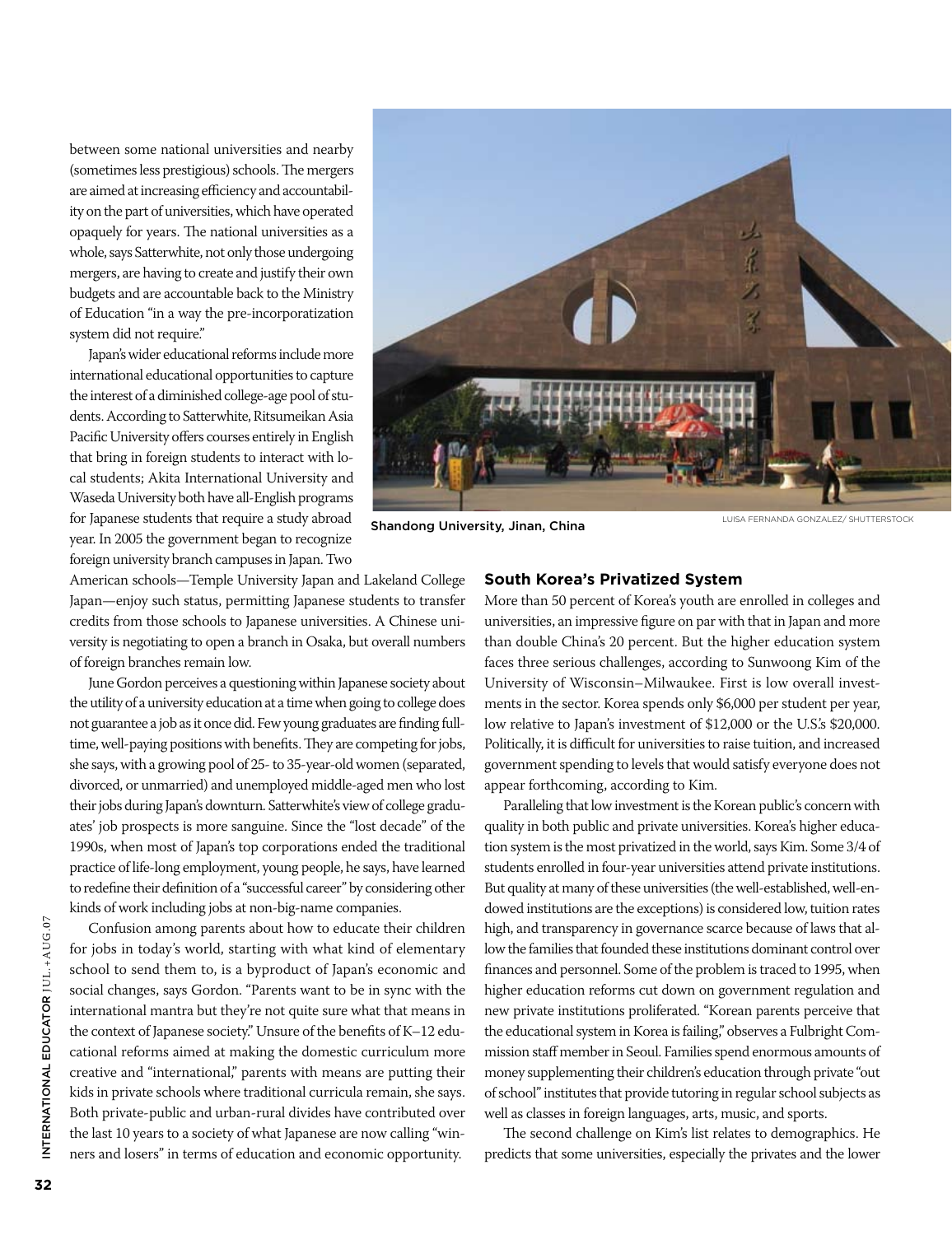between some national universities and nearby (sometimes less prestigious) schools. The mergers are aimed at increasing efficiency and accountability on the part of universities, which have operated opaquely for years. The national universities as a whole, says Satterwhite, not only those undergoing mergers, are having to create and justify their own budgets and are accountable back to the Ministry of Education "in a way the pre-incorporatization system did not require."

Japan's wider educational reforms include more international educational opportunities to capture the interest of a diminished college-age pool of students. According to Satterwhite, Ritsumeikan Asia Pacific University offers courses entirely in English that bring in foreign students to interact with local students; Akita International University and Waseda University both have all-English programs for Japanese students that require a study abroad year. In 2005 the government began to recognize foreign university branch campuses in Japan. Two

Shandong University, Jinan, China Luisa FERNANDA GONZALEZ/ SHUTTERSTOCK

American schools—Temple University Japan and Lakeland College Japan—enjoy such status, permitting Japanese students to transfer credits from those schools to Japanese universities. A Chinese university is negotiating to open a branch in Osaka, but overall numbers of foreign branches remain low.

June Gordon perceives a questioning within Japanese society about the utility of a university education at a time when going to college does not guarantee a job as it once did. Few young graduates are finding fulltime, well-paying positions with benefits. They are competing for jobs, she says, with a growing pool of 25- to 35-year-old women (separated, divorced, or unmarried) and unemployed middle-aged men who lost their jobs during Japan's downturn. Satterwhite's view of college graduates' job prospects is more sanguine. Since the "lost decade" of the 1990s, when most of Japan's top corporations ended the traditional practice of life-long employment, young people, he says, have learned to redefine their definition of a "successful career" by considering other kinds of work including jobs at non-big-name companies.

Confusion among parents about how to educate their children for jobs in today's world, starting with what kind of elementary school to send them to, is a byproduct of Japan's economic and social changes, says Gordon. "Parents want to be in sync with the international mantra but they're not quite sure what that means in the context of Japanese society." Unsure of the benefits of K–12 educational reforms aimed at making the domestic curriculum more creative and "international," parents with means are putting their kids in private schools where traditional curricula remain, she says. Both private-public and urban-rural divides have contributed over the last 10 years to a society of what Japanese are now calling "winners and losers" in terms of education and economic opportunity.

### **South Korea's Privatized System**

More than 50 percent of Korea's youth are enrolled in colleges and universities, an impressive figure on par with that in Japan and more than double China's 20 percent. But the higher education system faces three serious challenges, according to Sunwoong Kim of the University of Wisconsin–Milwaukee. First is low overall investments in the sector. Korea spends only \$6,000 per student per year, low relative to Japan's investment of \$12,000 or the U.S.'s \$20,000. Politically, it is difficult for universities to raise tuition, and increased government spending to levels that would satisfy everyone does not appear forthcoming, according to Kim.

Paralleling that low investment is the Korean public's concern with quality in both public and private universities. Korea's higher education system is the most privatized in the world, says Kim. Some 3/4 of students enrolled in four-year universities attend private institutions. But quality at many of these universities (the well-established, well-endowed institutions are the exceptions) is considered low, tuition rates high, and transparency in governance scarce because of laws that allow the families that founded these institutions dominant control over finances and personnel. Some of the problem is traced to 1995, when higher education reforms cut down on government regulation and new private institutions proliferated. "Korean parents perceive that the educational system in Korea is failing," observes a Fulbright Commission staff member in Seoul. Families spend enormous amounts of money supplementing their children's education through private "out of school" institutes that provide tutoring in regular school subjects as well as classes in foreign languages, arts, music, and sports.

The second challenge on Kim's list relates to demographics. He predicts that some universities, especially the privates and the lower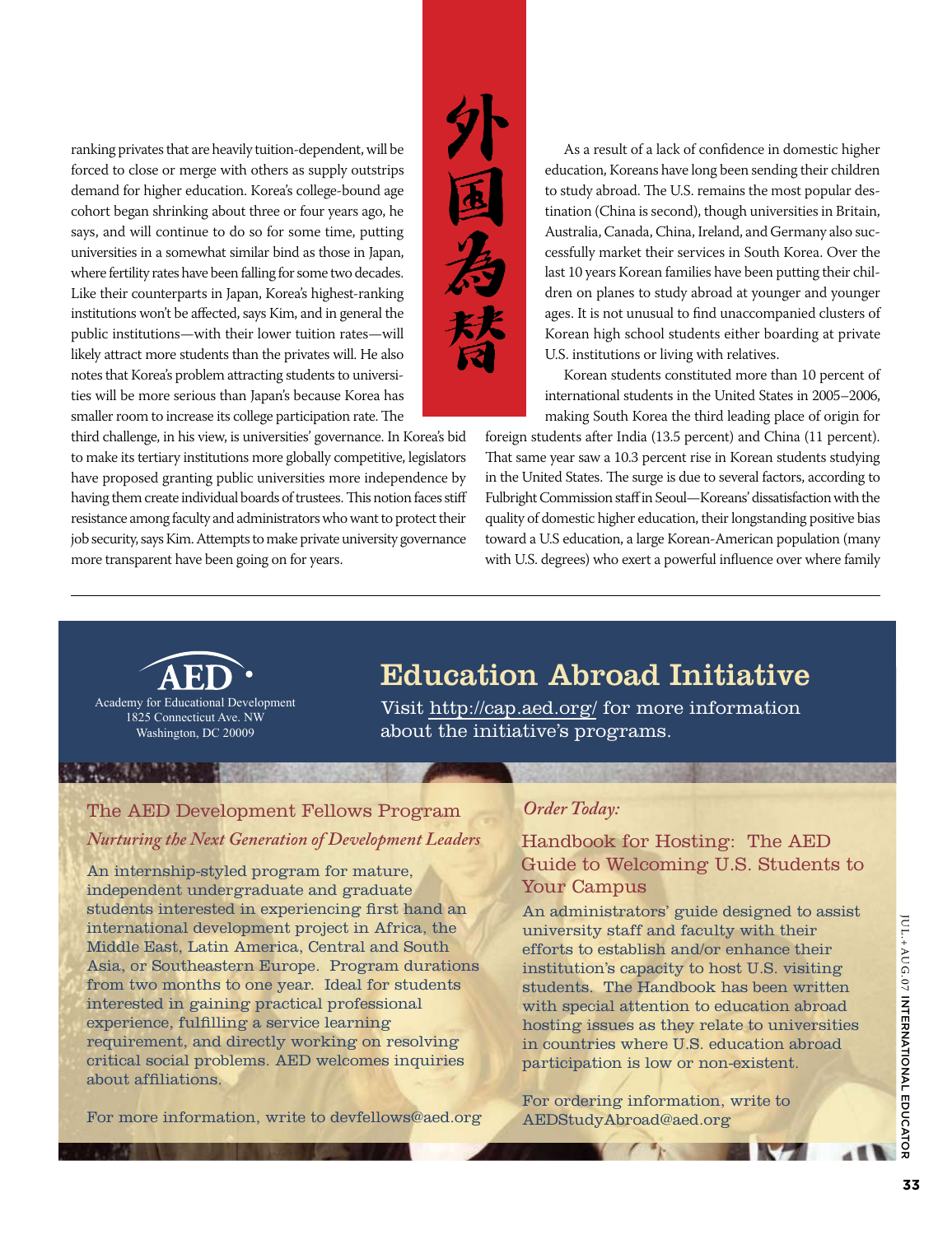ranking privates that are heavily tuition-dependent, will be forced to close or merge with others as supply outstrips demand for higher education. Korea's college-bound age cohort began shrinking about three or four years ago, he says, and will continue to do so for some time, putting universities in a somewhat similar bind as those in Japan, where fertility rates have been falling for some two decades. Like their counterparts in Japan, Korea's highest-ranking institutions won't be affected, says Kim, and in general the public institutions—with their lower tuition rates—will likely attract more students than the privates will. He also notes that Korea's problem attracting students to universities will be more serious than Japan's because Korea has smaller room to increase its college participation rate. The

third challenge, in his view, is universities' governance. In Korea's bid to make its tertiary institutions more globally competitive, legislators have proposed granting public universities more independence by having them create individual boards of trustees. This notion faces stiff resistance among faculty and administrators who want to protect their job security, says Kim. Attempts to make private university governance



As a result of a lack of confidence in domestic higher education, Koreans have long been sending their children to study abroad. The U.S. remains the most popular destination (China is second), though universities in Britain, Australia, Canada, China, Ireland, and Germany also successfully market their services in South Korea. Over the last 10 years Korean families have been putting their children on planes to study abroad at younger and younger ages. It is not unusual to find unaccompanied clusters of Korean high school students either boarding at private U.S. institutions or living with relatives.

Korean students constituted more than 10 percent of international students in the United States in 2005–2006,

making South Korea the third leading place of origin for foreign students after India (13.5 percent) and China (11 percent). That same year saw a 10.3 percent rise in Korean students studying in the United States. The surge is due to several factors, according to Fulbright Commission staff in Seoul—Koreans' dissatisfaction with the quality of domestic higher education, their longstanding positive bias toward a U.S education, a large Korean-American population (many with U.S. degrees) who exert a powerful influence over where family

Academy for Educational Development 1825 Connecticut Ave. NW Washington, DC 20009

more transparent have been going on for years.

## Education Abroad Initiative

Visit http://cap.aed.org/ for more information about the initiative's programs.

## The AED Development Fellows Program *Nurturing the Next Generation of Development Leaders*

An internship-styled program for mature, independent undergraduate and graduate students interested in experiencing first hand an international development project in Africa, the Middle East, Latin America, Central and South Asia, or Southeastern Europe. Program durations from two months to one year. Ideal for students interested in gaining practical professional experience, fulfilling a service learning requirement, and directly working on resolving critical social problems. AED welcomes inquiries about affiliations.

For more information, write to devfellows@aed.org

## *Order Today:*

## Handbook for Hosting: The AED Guide to Welcoming U.S. Students to Your Campus

An administrators' guide designed to assist university staff and faculty with their efforts to establish and/or enhance their institution's capacity to host U.S. visiting students. The Handbook has been written with special attention to education abroad hosting issues as they relate to universities in countries where U.S. education abroad participation is low or non-existent.

For ordering information, write to AEDStudyAbroad@aed.org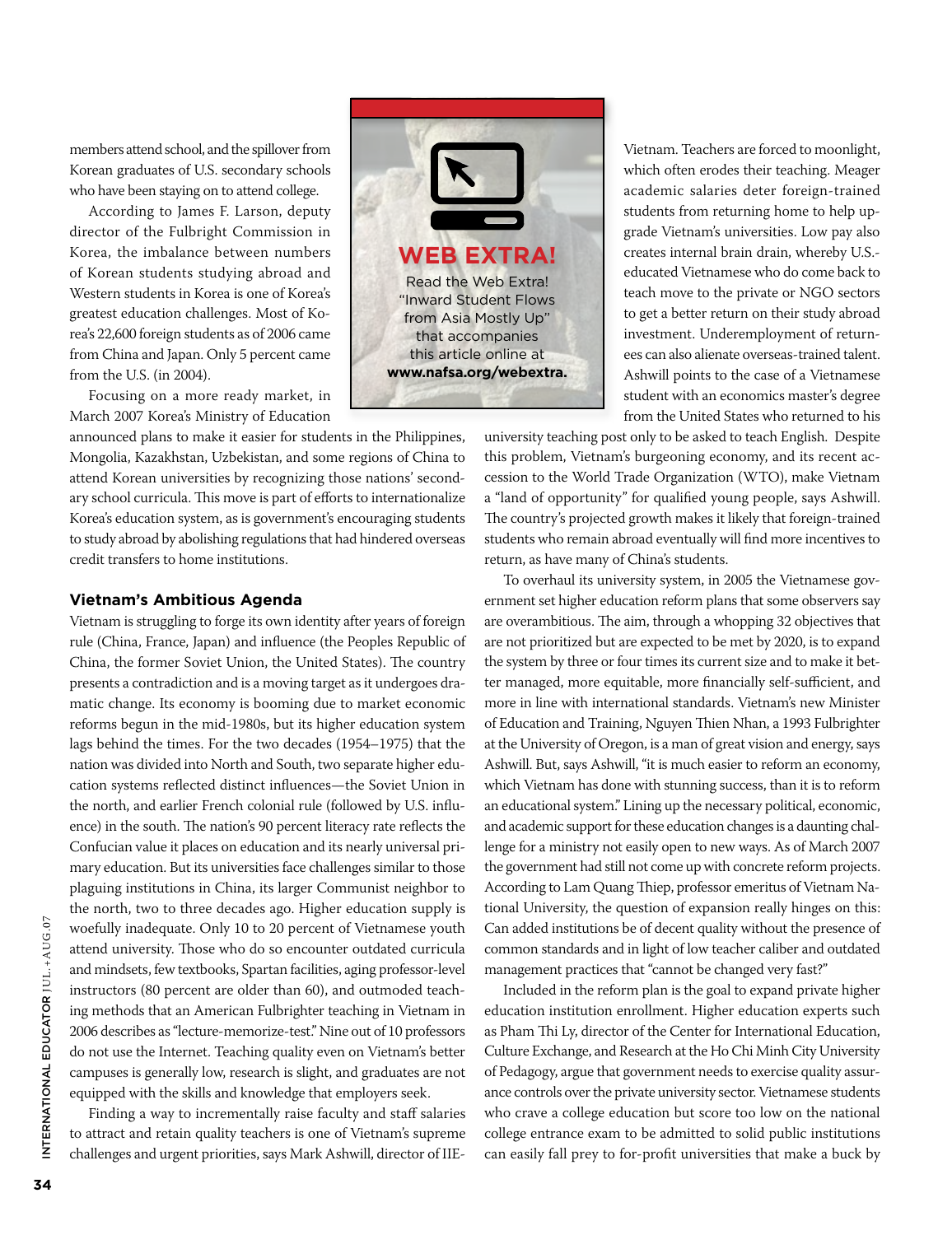members attend school, and the spillover from Korean graduates of U.S. secondary schools who have been staying on to attend college.

According to James F. Larson, deputy director of the Fulbright Commission in Korea, the imbalance between numbers of Korean students studying abroad and Western students in Korea is one of Korea's greatest education challenges. Most of Korea's 22,600 foreign students as of 2006 came from China and Japan. Only 5 percent came from the U.S. (in 2004).

Focusing on a more ready market, in March 2007 Korea's Ministry of Education

announced plans to make it easier for students in the Philippines, Mongolia, Kazakhstan, Uzbekistan, and some regions of China to attend Korean universities by recognizing those nations' secondary school curricula. This move is part of efforts to internationalize Korea's education system, as is government's encouraging students to study abroad by abolishing regulations that had hindered overseas credit transfers to home institutions.

#### **Vietnam's Ambitious Agenda**

Vietnam is struggling to forge its own identity after years of foreign rule (China, France, Japan) and influence (the Peoples Republic of China, the former Soviet Union, the United States). The country presents a contradiction and is a moving target as it undergoes dramatic change. Its economy is booming due to market economic reforms begun in the mid-1980s, but its higher education system lags behind the times. For the two decades (1954–1975) that the nation was divided into North and South, two separate higher education systems reflected distinct influences—the Soviet Union in the north, and earlier French colonial rule (followed by U.S. influence) in the south. The nation's 90 percent literacy rate reflects the Confucian value it places on education and its nearly universal primary education. But its universities face challenges similar to those plaguing institutions in China, its larger Communist neighbor to the north, two to three decades ago. Higher education supply is woefully inadequate. Only 10 to 20 percent of Vietnamese youth attend university. Those who do so encounter outdated curricula and mindsets, few textbooks, Spartan facilities, aging professor-level instructors (80 percent are older than 60), and outmoded teaching methods that an American Fulbrighter teaching in Vietnam in 2006 describes as "lecture-memorize-test." Nine out of 10 professors do not use the Internet. Teaching quality even on Vietnam's better campuses is generally low, research is slight, and graduates are not equipped with the skills and knowledge that employers seek.

Finding a way to incrementally raise faculty and staff salaries to attract and retain quality teachers is one of Vietnam's supreme challenges and urgent priorities, says Mark Ashwill, director of IIE-



Vietnam. Teachers are forced to moonlight, which often erodes their teaching. Meager academic salaries deter foreign-trained students from returning home to help upgrade Vietnam's universities. Low pay also creates internal brain drain, whereby U.S. educated Vietnamese who do come back to teach move to the private or NGO sectors to get a better return on their study abroad investment. Underemployment of returnees can also alienate overseas-trained talent. Ashwill points to the case of a Vietnamese student with an economics master's degree from the United States who returned to his

university teaching post only to be asked to teach English. Despite this problem, Vietnam's burgeoning economy, and its recent accession to the World Trade Organization (WTO), make Vietnam a "land of opportunity" for qualified young people, says Ashwill. The country's projected growth makes it likely that foreign-trained students who remain abroad eventually will find more incentives to return, as have many of China's students.

To overhaul its university system, in 2005 the Vietnamese government set higher education reform plans that some observers say are overambitious. The aim, through a whopping 32 objectives that are not prioritized but are expected to be met by 2020, is to expand the system by three or four times its current size and to make it better managed, more equitable, more financially self-sufficient, and more in line with international standards. Vietnam's new Minister of Education and Training, Nguyen Thien Nhan, a 1993 Fulbrighter at the University of Oregon, is a man of great vision and energy, says Ashwill. But, says Ashwill, "it is much easier to reform an economy, which Vietnam has done with stunning success, than it is to reform an educational system." Lining up the necessary political, economic, and academic support for these education changes is a daunting challenge for a ministry not easily open to new ways. As of March 2007 the government had still not come up with concrete reform projects. According to Lam Quang Thiep, professor emeritus of Vietnam National University, the question of expansion really hinges on this: Can added institutions be of decent quality without the presence of common standards and in light of low teacher caliber and outdated management practices that "cannot be changed very fast?"

Included in the reform plan is the goal to expand private higher education institution enrollment. Higher education experts such as Pham Thi Ly, director of the Center for International Education, Culture Exchange, and Research at the Ho Chi Minh City University of Pedagogy, argue that government needs to exercise quality assurance controls over the private university sector. Vietnamese students who crave a college education but score too low on the national college entrance exam to be admitted to solid public institutions can easily fall prey to for-profit universities that make a buck by